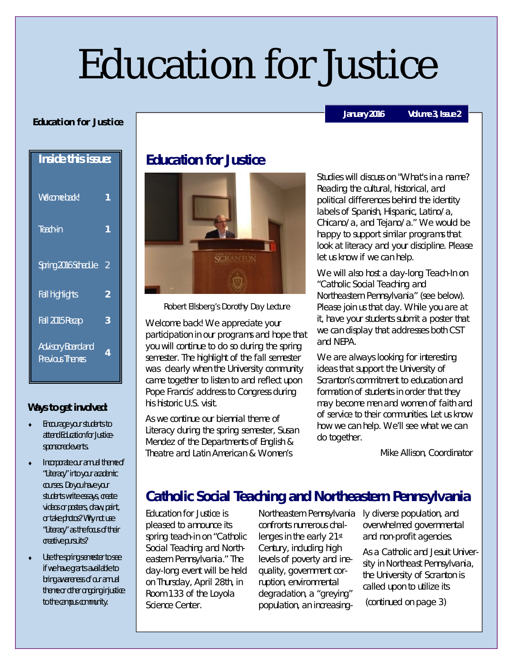# Education for Justice

#### **Education for Justice**

**Inside this issue:** Welcome back<sup>I</sup> **1** Teach-in **1** Spring 2016 Schedule 2 Fall highlights **2** Fall 2015 Recap **3** Advisory Board and Previous Themes **<sup>4</sup>**

#### **Ways to get involved:**

- Encourage your students to attend Education for Justicesponsored events.
- Incorporate our annual theme of "Literacy" into your academic courses. Do you have your students write essays, create videos or posters, draw, paint, or take photos? Why not use "Literacy" as the focus of their creative pursuits?
- Use the spring semester to see if we have grants available to bring awareness of our annual theme or other ongoing injustice to the campus community.

## **Education for Justice**



Robert Ellsberg's Dorothy Day Lecture

Welcome back! We appreciate your participation in our programs and hope that you will continue to do so during the spring semester. The highlight of the fall semester was clearly when the University community came together to listen to and reflect upon Pope Francis' address to Congress during his historic U.S. visit.

As we continue our biennial theme of Literacy during the spring semester, Susan Mendez of the Departments of English & Theatre and Latin American & Women's

Studies will discuss on "What's in a name? Reading the cultural, historical, and political differences behind the identity labels of Spanish, Hispanic, Latino/a, Chicano/a, and Tejano/a." We would be happy to support similar programs that look at literacy and your discipline. Please let us know if we can help.

We will also host a day-long Teach-In on "Catholic Social Teaching and Northeastern Pennsylvania" (see below). Please join us that day. While you are at it, have your students submit a poster that we can display that addresses both CST and NEPA.

We are always looking for interesting ideas that support the University of Scranton's commitment to education and formation of students in order that they may become men and women of faith and of service to their communities. Let us know how we can help. We'll see what we can do together.

Mike Allison, Coordinator

# **Catholic Social Teaching and Northeastern Pennsylvania**

Education for Justice is pleased to announce its spring teach-in on "Catholic Social Teaching and Northeastern Pennsylvania." The day-long event will be held on Thursday, April 28th, in Room 133 of the Loyola Science Center.

Northeastern Pennsylvania confronts numerous challenges in the early 21st Century, including high levels of poverty and inequality, government corruption, environmental degradation, a "greying" population, an increasing-

ly diverse population, and overwhelmed governmental and non-profit agencies.

As a Catholic and Jesuit University in Northeast Pennsylvania, the University of Scranton is called upon to utilize its

(continued on page 3)

#### **January 2016 Volume 3, Issue 2**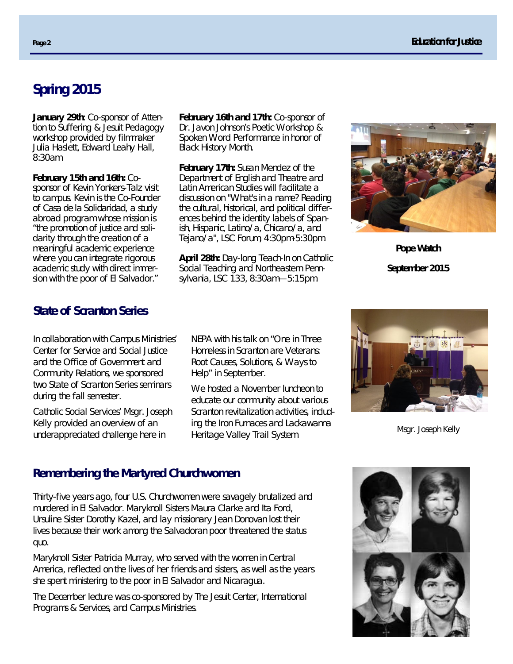# **Spring 2015**

**January 29th**: Co-sponsor of Attention to Suffering & Jesuit Pedagogy workshop provided by filmmaker Julia Haslett, Edward Leahy Hall, 8:30am

**February 15th and 16th:** Cosponsor of Kevin Yonkers-Talz visit to campus. Kevin is the Co-Founder of *Casa de la Solidaridad,* a study abroad program whose mission is "the promotion of justice and solidarity through the creation of a meaningful academic experience where you can integrate rigorous academic study with direct immersion with the poor of El Salvador."

**February 16th and 17th:** Co-sponsor of Dr. Javon Johnson's Poetic Workshop & Spoken Word Performance in honor of Black History Month.

**February 17th:** Susan Mendez of the Department of English and Theatre and Latin American Studies will facilitate a discussion on "What's in a name? Reading the cultural, historical, and political differences behind the identity labels of Spanish, Hispanic, Latino/a, Chicano/a, and Tejano/a", LSC Forum, 4:30pm-5:30pm.

**April 28th:** Day-long Teach-In on Catholic Social Teaching and Northeastern Pennsylvania, LSC 133, 8:30am—5:15pm.



**Pope Watch September 2015**

### **State of Scranton Series**

In collaboration with Campus Ministries' Center for Service and Social Justice and the Office of Government and Community Relations, we sponsored two State of Scranton Series seminars during the fall semester.

Catholic Social Services' Msgr. Joseph Kelly provided an overview of an underappreciated challenge here in

NEPA with his talk on "One in Three Homeless in Scranton are Veterans: Root Causes, Solutions, & Ways to Help" in September.

We hosted a November luncheon to educate our community about various Scranton revitalization activities, including the Iron Furnaces and Lackawanna mg the from runlaces and Edena wanna Msgr. Joseph Kelly<br>Heritage Valley Trail System.



#### **Remembering the Martyred Churchwomen**

Thirty-five years ago, four U.S. Churchwomen were savagely brutalized and murdered in El Salvador. Maryknoll Sisters Maura Clarke and Ita Ford, Ursuline Sister Dorothy Kazel, and lay missionary Jean Donovan lost their lives because their work among the Salvadoran poor threatened the status quo.

Maryknoll Sister Patricia Murray, who served with the women in Central America, reflected on the lives of her friends and sisters, as well as the years she spent ministering to the poor in El Salvador and Nicaragua.

The December lecture was co-sponsored by The Jesuit Center, International Programs & Services, and Campus Ministries.

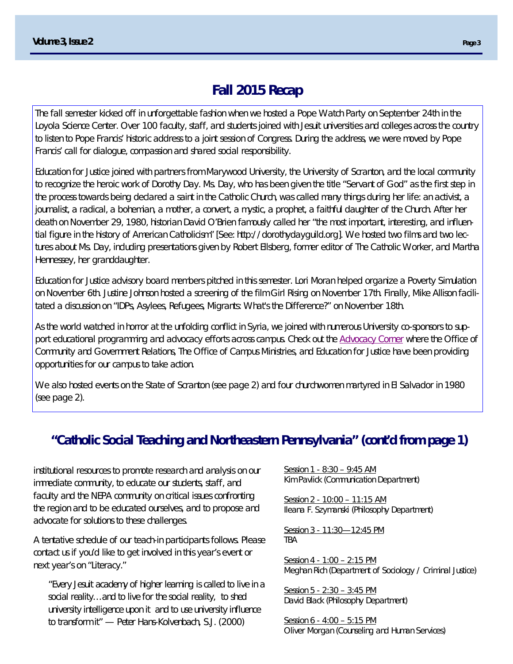## **Fall 2015 Recap**

The fall semester kicked off in unforgettable fashion when we hosted a Pope Watch Party on September 24th in the Loyola Science Center. Over 100 faculty, staff, and students joined with Jesuit universities and colleges across the country to listen to Pope Francis' historic address to a joint session of Congress. During the address, we were moved by Pope Francis' call for dialogue, compassion and shared social responsibility.

Education for Justice joined with partners from Marywood University, the University of Scranton, and the local community to recognize the heroic work of Dorothy Day. Ms. Day, who has been given the title "Servant of God" as the first step in the process towards being declared a saint in the Catholic Church, was called many things during her life: an activist, a journalist, a radical, a bohemian, a mother, a convert, a mystic, a prophet, a faithful daughter of the Church. After her death on November 29, 1980, historian David O'Brien famously called her "the most important, interesting, and influential figure in the history of American Catholicism" [See: http://dorothydayguild.org]. We hosted two films and two lectures about Ms. Day, including presentations given by Robert Ellsberg, former editor of The Catholic Worker, and Martha Hennessey, her granddaughter.

Education for Justice advisory board members pitched in this semester. Lori Moran helped organize a Poverty Simulation on November 6th. Justine Johnson hosted a screening of the film Girl Rising on November 17th. Finally, Mike Allison facilitated a discussion on "IDPs, Asylees, Refugees, Migrants: What's the Difference?" on November 18th.

As the world watched in horror at the unfolding conflict in Syria, we joined with numerous University co-sponsors to support educational programming and advocacy efforts across campus. Check out the Advocacy Corner where the Office of Community and Government Relations, The Office of Campus Ministries, and Education for Justice have been providing opportunities for our campus to take action.

We also hosted events on the State of Scranton (see page 2) and four churchwomen martyred in El Salvador in 1980 (see page 2).

## **"Catholic Social Teaching and Northeastern Pennsylvania" (cont'd from page 1)**

institutional resources to promote research and analysis on our immediate community, to educate our students, staff, and faculty and the NEPA community on critical issues confronting the region and to be educated ourselves, and to propose and advocate for solutions to these challenges.

A tentative schedule of our teach-in participants follows. Please contact us if you'd like to get involved in this year's event or next year's on "Literacy."

*"Every Jesuit academy of higher learning is called to live in a social reality…and to live for the social reality, to shed university intelligence upon it and to use university influence to transform it" — Peter Hans-Kolvenbach, S.J. (2000)*

Session 1 - 8:30 – 9:45 AM Kim Pavlick (Communication Department)

Session 2 - *10:00 – 11:15 AM* Ileana F. Szymanski (Philosophy Department)

Session 3 - 11:30—12:45 PM TBA

Session 4 - *1:00 – 2:15 PM* Meghan Rich (Department of Sociology / Criminal Justice)

Session 5 - *2:30 – 3:45 PM* David Black (Philosophy Department)

Session 6 - *4:00 – 5:15 PM* Oliver Morgan (Counseling and Human Services)